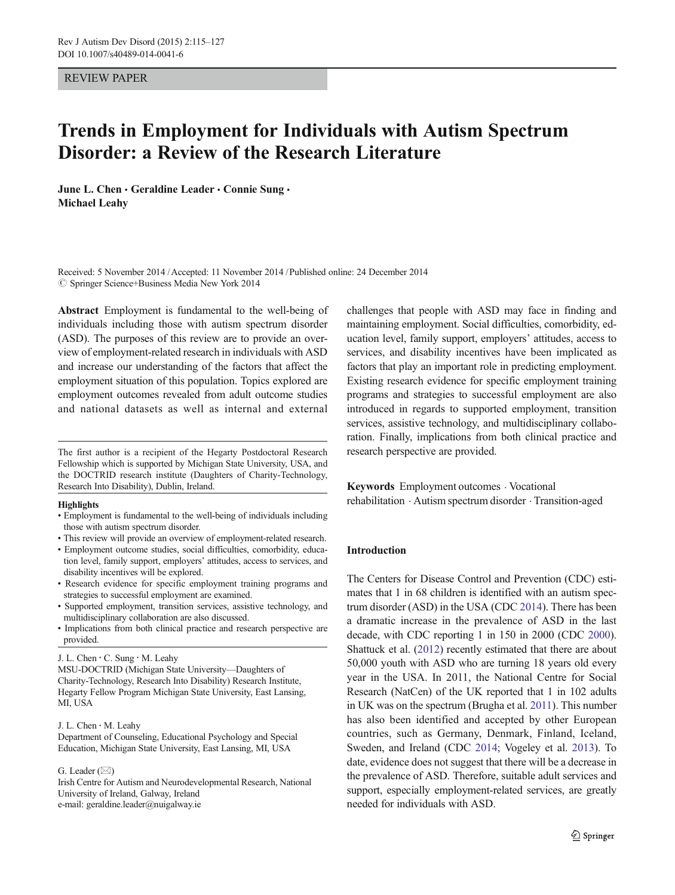#### REVIEW PAPER

# Trends in Employment for Individuals with Autism Spectrum Disorder: a Review of the Research Literature

June L. Chen · Geraldine Leader · Connie Sung · Michael Leahy

Received: 5 November 2014 /Accepted: 11 November 2014 / Published online: 24 December 2014  $\circled{c}$  Springer Science+Business Media New York 2014

Abstract Employment is fundamental to the well-being of individuals including those with autism spectrum disorder (ASD). The purposes of this review are to provide an overview of employment-related research in individuals with ASD and increase our understanding of the factors that affect the employment situation of this population. Topics explored are employment outcomes revealed from adult outcome studies and national datasets as well as internal and external

The first author is a recipient of the Hegarty Postdoctoral Research Fellowship which is supported by Michigan State University, USA, and the DOCTRID research institute (Daughters of Charity-Technology, Research Into Disability), Dublin, Ireland.

#### **Highlights**

- Employment is fundamental to the well-being of individuals including those with autism spectrum disorder.
- This review will provide an overview of employment-related research.
- Employment outcome studies, social difficulties, comorbidity, education level, family support, employers' attitudes, access to services, and disability incentives will be explored.
- Research evidence for specific employment training programs and strategies to successful employment are examined.
- Supported employment, transition services, assistive technology, and multidisciplinary collaboration are also discussed.
- Implications from both clinical practice and research perspective are provided.

#### J. L. Chen : C. Sung : M. Leahy

MSU-DOCTRID (Michigan State University—Daughters of Charity-Technology, Research Into Disability) Research Institute, Hegarty Fellow Program Michigan State University, East Lansing, MI, USA

#### J. L. Chen : M. Leahy

Department of Counseling, Educational Psychology and Special Education, Michigan State University, East Lansing, MI, USA

#### G. Leader  $(\boxtimes)$

Irish Centre for Autism and Neurodevelopmental Research, National University of Ireland, Galway, Ireland e-mail: geraldine.leader@nuigalway.ie

challenges that people with ASD may face in finding and maintaining employment. Social difficulties, comorbidity, education level, family support, employers' attitudes, access to services, and disability incentives have been implicated as factors that play an important role in predicting employment. Existing research evidence for specific employment training programs and strategies to successful employment are also introduced in regards to supported employment, transition services, assistive technology, and multidisciplinary collaboration. Finally, implications from both clinical practice and research perspective are provided.

Keywords Employment outcomes . Vocational rehabilitation . Autism spectrum disorder . Transition-aged

# Introduction

The Centers for Disease Control and Prevention (CDC) estimates that 1 in 68 children is identified with an autism spectrum disorder (ASD) in the USA (CDC [2014](#page-9-0)). There has been a dramatic increase in the prevalence of ASD in the last decade, with CDC reporting 1 in 150 in 2000 (CDC [2000\)](#page-9-0). Shattuck et al. ([2012](#page-11-0)) recently estimated that there are about 50,000 youth with ASD who are turning 18 years old every year in the USA. In 2011, the National Centre for Social Research (NatCen) of the UK reported that 1 in 102 adults in UK was on the spectrum (Brugha et al. [2011](#page-9-0)). This number has also been identified and accepted by other European countries, such as Germany, Denmark, Finland, Iceland, Sweden, and Ireland (CDC [2014](#page-9-0); Vogeley et al. [2013\)](#page-12-0). To date, evidence does not suggest that there will be a decrease in the prevalence of ASD. Therefore, suitable adult services and support, especially employment-related services, are greatly needed for individuals with ASD.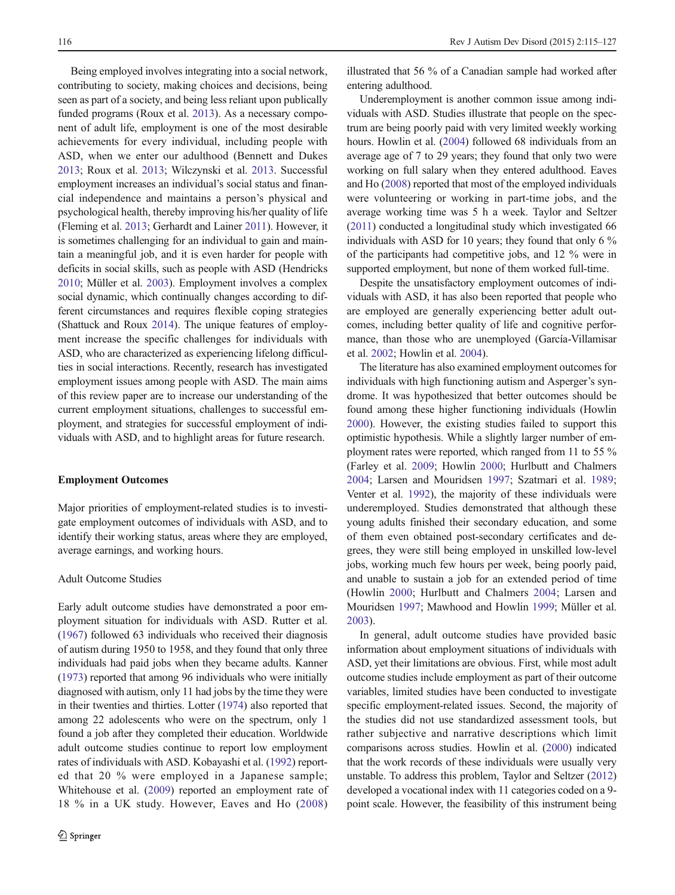Being employed involves integrating into a social network, contributing to society, making choices and decisions, being seen as part of a society, and being less reliant upon publically funded programs (Roux et al. [2013](#page-11-0)). As a necessary component of adult life, employment is one of the most desirable achievements for every individual, including people with ASD, when we enter our adulthood (Bennett and Dukes [2013;](#page-9-0) Roux et al. [2013;](#page-11-0) Wilczynski et al. [2013.](#page-12-0) Successful employment increases an individual's social status and financial independence and maintains a person's physical and psychological health, thereby improving his/her quality of life (Fleming et al. [2013;](#page-9-0) Gerhardt and Lainer [2011](#page-10-0)). However, it is sometimes challenging for an individual to gain and maintain a meaningful job, and it is even harder for people with deficits in social skills, such as people with ASD (Hendricks [2010;](#page-10-0) Müller et al. [2003\)](#page-11-0). Employment involves a complex social dynamic, which continually changes according to different circumstances and requires flexible coping strategies (Shattuck and Roux [2014\)](#page-11-0). The unique features of employment increase the specific challenges for individuals with ASD, who are characterized as experiencing lifelong difficulties in social interactions. Recently, research has investigated employment issues among people with ASD. The main aims of this review paper are to increase our understanding of the current employment situations, challenges to successful employment, and strategies for successful employment of individuals with ASD, and to highlight areas for future research.

# Employment Outcomes

Major priorities of employment-related studies is to investigate employment outcomes of individuals with ASD, and to identify their working status, areas where they are employed, average earnings, and working hours.

# Adult Outcome Studies

Early adult outcome studies have demonstrated a poor employment situation for individuals with ASD. Rutter et al. [\(1967\)](#page-11-0) followed 63 individuals who received their diagnosis of autism during 1950 to 1958, and they found that only three individuals had paid jobs when they became adults. Kanner [\(1973\)](#page-10-0) reported that among 96 individuals who were initially diagnosed with autism, only 11 had jobs by the time they were in their twenties and thirties. Lotter [\(1974\)](#page-11-0) also reported that among 22 adolescents who were on the spectrum, only 1 found a job after they completed their education. Worldwide adult outcome studies continue to report low employment rates of individuals with ASD. Kobayashi et al. [\(1992\)](#page-10-0) reported that 20 % were employed in a Japanese sample; Whitehouse et al. ([2009\)](#page-12-0) reported an employment rate of 18 % in a UK study. However, Eaves and Ho ([2008\)](#page-9-0)

illustrated that 56 % of a Canadian sample had worked after entering adulthood.

Underemployment is another common issue among individuals with ASD. Studies illustrate that people on the spectrum are being poorly paid with very limited weekly working hours. Howlin et al. [\(2004\)](#page-10-0) followed 68 individuals from an average age of 7 to 29 years; they found that only two were working on full salary when they entered adulthood. Eaves and Ho ([2008](#page-9-0)) reported that most of the employed individuals were volunteering or working in part-time jobs, and the average working time was 5 h a week. Taylor and Seltzer [\(2011\)](#page-12-0) conducted a longitudinal study which investigated 66 individuals with ASD for 10 years; they found that only 6 % of the participants had competitive jobs, and 12 % were in supported employment, but none of them worked full-time.

Despite the unsatisfactory employment outcomes of individuals with ASD, it has also been reported that people who are employed are generally experiencing better adult outcomes, including better quality of life and cognitive performance, than those who are unemployed (García-Villamisar et al. [2002](#page-10-0); Howlin et al. [2004](#page-10-0)).

The literature has also examined employment outcomes for individuals with high functioning autism and Asperger's syndrome. It was hypothesized that better outcomes should be found among these higher functioning individuals (Howlin [2000\)](#page-10-0). However, the existing studies failed to support this optimistic hypothesis. While a slightly larger number of employment rates were reported, which ranged from 11 to 55 % (Farley et al. [2009](#page-9-0); Howlin [2000;](#page-10-0) Hurlbutt and Chalmers [2004](#page-10-0); Larsen and Mouridsen [1997](#page-10-0); Szatmari et al. [1989;](#page-12-0) Venter et al. [1992\)](#page-12-0), the majority of these individuals were underemployed. Studies demonstrated that although these young adults finished their secondary education, and some of them even obtained post-secondary certificates and degrees, they were still being employed in unskilled low-level jobs, working much few hours per week, being poorly paid, and unable to sustain a job for an extended period of time (Howlin [2000](#page-10-0); Hurlbutt and Chalmers [2004](#page-10-0); Larsen and Mouridsen [1997](#page-10-0); Mawhood and Howlin [1999](#page-11-0); Müller et al. [2003\)](#page-11-0).

In general, adult outcome studies have provided basic information about employment situations of individuals with ASD, yet their limitations are obvious. First, while most adult outcome studies include employment as part of their outcome variables, limited studies have been conducted to investigate specific employment-related issues. Second, the majority of the studies did not use standardized assessment tools, but rather subjective and narrative descriptions which limit comparisons across studies. Howlin et al. [\(2000\)](#page-10-0) indicated that the work records of these individuals were usually very unstable. To address this problem, Taylor and Seltzer [\(2012](#page-12-0)) developed a vocational index with 11 categories coded on a 9 point scale. However, the feasibility of this instrument being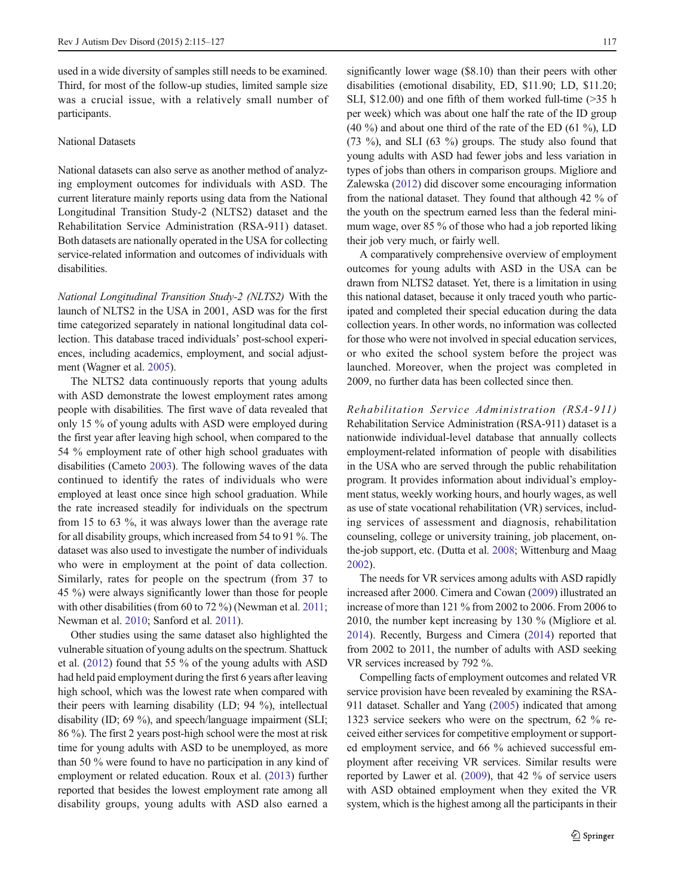used in a wide diversity of samples still needs to be examined. Third, for most of the follow-up studies, limited sample size was a crucial issue, with a relatively small number of participants.

# National Datasets

National datasets can also serve as another method of analyzing employment outcomes for individuals with ASD. The current literature mainly reports using data from the National Longitudinal Transition Study-2 (NLTS2) dataset and the Rehabilitation Service Administration (RSA-911) dataset. Both datasets are nationally operated in the USA for collecting service-related information and outcomes of individuals with disabilities.

National Longitudinal Transition Study-2 (NLTS2) With the launch of NLTS2 in the USA in 2001, ASD was for the first time categorized separately in national longitudinal data collection. This database traced individuals' post-school experiences, including academics, employment, and social adjustment (Wagner et al. [2005\)](#page-12-0).

The NLTS2 data continuously reports that young adults with ASD demonstrate the lowest employment rates among people with disabilities. The first wave of data revealed that only 15 % of young adults with ASD were employed during the first year after leaving high school, when compared to the 54 % employment rate of other high school graduates with disabilities (Cameto [2003\)](#page-9-0). The following waves of the data continued to identify the rates of individuals who were employed at least once since high school graduation. While the rate increased steadily for individuals on the spectrum from 15 to 63 %, it was always lower than the average rate for all disability groups, which increased from 54 to 91 %. The dataset was also used to investigate the number of individuals who were in employment at the point of data collection. Similarly, rates for people on the spectrum (from 37 to 45 %) were always significantly lower than those for people with other disabilities (from 60 to 72 %) (Newman et al. [2011](#page-11-0); Newman et al. [2010;](#page-11-0) Sanford et al. [2011](#page-11-0)).

Other studies using the same dataset also highlighted the vulnerable situation of young adults on the spectrum. Shattuck et al. [\(2012](#page-11-0)) found that 55 % of the young adults with ASD had held paid employment during the first 6 years after leaving high school, which was the lowest rate when compared with their peers with learning disability (LD; 94 %), intellectual disability (ID; 69 %), and speech/language impairment (SLI; 86 %). The first 2 years post-high school were the most at risk time for young adults with ASD to be unemployed, as more than 50 % were found to have no participation in any kind of employment or related education. Roux et al. [\(2013\)](#page-11-0) further reported that besides the lowest employment rate among all disability groups, young adults with ASD also earned a

significantly lower wage (\$8.10) than their peers with other disabilities (emotional disability, ED, \$11.90; LD, \$11.20; SLI, \$12.00) and one fifth of them worked full-time (>35 h per week) which was about one half the rate of the ID group  $(40\%)$  and about one third of the rate of the ED  $(61\%)$ , LD (73 %), and SLI (63 %) groups. The study also found that young adults with ASD had fewer jobs and less variation in types of jobs than others in comparison groups. Migliore and Zalewska [\(2012\)](#page-11-0) did discover some encouraging information from the national dataset. They found that although 42 % of the youth on the spectrum earned less than the federal minimum wage, over 85 % of those who had a job reported liking their job very much, or fairly well.

A comparatively comprehensive overview of employment outcomes for young adults with ASD in the USA can be drawn from NLTS2 dataset. Yet, there is a limitation in using this national dataset, because it only traced youth who participated and completed their special education during the data collection years. In other words, no information was collected for those who were not involved in special education services, or who exited the school system before the project was launched. Moreover, when the project was completed in 2009, no further data has been collected since then.

Rehabilitation Service Administration (RSA-911) Rehabilitation Service Administration (RSA-911) dataset is a nationwide individual-level database that annually collects employment-related information of people with disabilities in the USA who are served through the public rehabilitation program. It provides information about individual's employment status, weekly working hours, and hourly wages, as well as use of state vocational rehabilitation (VR) services, including services of assessment and diagnosis, rehabilitation counseling, college or university training, job placement, onthe-job support, etc. (Dutta et al. [2008](#page-9-0); Wittenburg and Maag [2002\)](#page-12-0).

The needs for VR services among adults with ASD rapidly increased after 2000. Cimera and Cowan [\(2009\)](#page-9-0) illustrated an increase of more than 121 % from 2002 to 2006. From 2006 to 2010, the number kept increasing by 130 % (Migliore et al. [2014\)](#page-11-0). Recently, Burgess and Cimera [\(2014\)](#page-9-0) reported that from 2002 to 2011, the number of adults with ASD seeking VR services increased by 792 %.

Compelling facts of employment outcomes and related VR service provision have been revealed by examining the RSA-911 dataset. Schaller and Yang [\(2005\)](#page-11-0) indicated that among 1323 service seekers who were on the spectrum, 62 % received either services for competitive employment or supported employment service, and 66 % achieved successful employment after receiving VR services. Similar results were reported by Lawer et al. [\(2009\)](#page-10-0), that 42 % of service users with ASD obtained employment when they exited the VR system, which is the highest among all the participants in their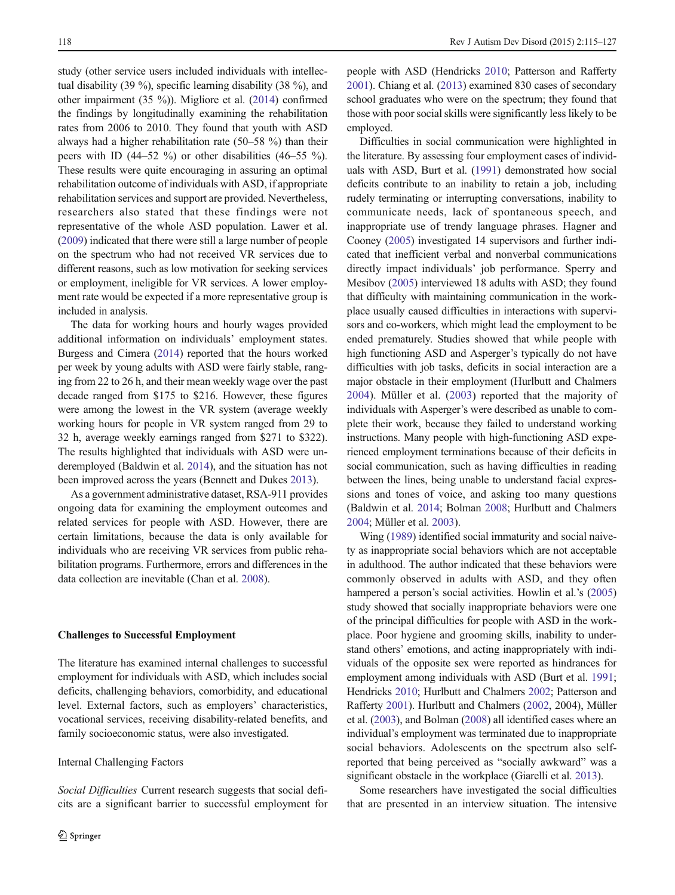study (other service users included individuals with intellectual disability (39 %), specific learning disability (38 %), and other impairment (35 %)). Migliore et al. [\(2014\)](#page-11-0) confirmed the findings by longitudinally examining the rehabilitation rates from 2006 to 2010. They found that youth with ASD always had a higher rehabilitation rate (50–58 %) than their peers with ID (44–52 %) or other disabilities (46–55 %). These results were quite encouraging in assuring an optimal rehabilitation outcome of individuals with ASD, if appropriate rehabilitation services and support are provided. Nevertheless, researchers also stated that these findings were not representative of the whole ASD population. Lawer et al. [\(2009\)](#page-10-0) indicated that there were still a large number of people on the spectrum who had not received VR services due to different reasons, such as low motivation for seeking services or employment, ineligible for VR services. A lower employment rate would be expected if a more representative group is included in analysis.

The data for working hours and hourly wages provided additional information on individuals' employment states. Burgess and Cimera ([2014](#page-9-0)) reported that the hours worked per week by young adults with ASD were fairly stable, ranging from 22 to 26 h, and their mean weekly wage over the past decade ranged from \$175 to \$216. However, these figures were among the lowest in the VR system (average weekly working hours for people in VR system ranged from 29 to 32 h, average weekly earnings ranged from \$271 to \$322). The results highlighted that individuals with ASD were underemployed (Baldwin et al. [2014\)](#page-9-0), and the situation has not been improved across the years (Bennett and Dukes [2013\)](#page-9-0).

As a government administrative dataset, RSA-911 provides ongoing data for examining the employment outcomes and related services for people with ASD. However, there are certain limitations, because the data is only available for individuals who are receiving VR services from public rehabilitation programs. Furthermore, errors and differences in the data collection are inevitable (Chan et al. [2008\)](#page-9-0).

# Challenges to Successful Employment

The literature has examined internal challenges to successful employment for individuals with ASD, which includes social deficits, challenging behaviors, comorbidity, and educational level. External factors, such as employers' characteristics, vocational services, receiving disability-related benefits, and family socioeconomic status, were also investigated.

# Internal Challenging Factors

Social Difficulties Current research suggests that social deficits are a significant barrier to successful employment for people with ASD (Hendricks [2010;](#page-10-0) Patterson and Rafferty [2001\)](#page-11-0). Chiang et al. ([2013](#page-9-0)) examined 830 cases of secondary school graduates who were on the spectrum; they found that those with poor social skills were significantly less likely to be employed.

Difficulties in social communication were highlighted in the literature. By assessing four employment cases of individuals with ASD, Burt et al. [\(1991\)](#page-9-0) demonstrated how social deficits contribute to an inability to retain a job, including rudely terminating or interrupting conversations, inability to communicate needs, lack of spontaneous speech, and inappropriate use of trendy language phrases. Hagner and Cooney [\(2005\)](#page-10-0) investigated 14 supervisors and further indicated that inefficient verbal and nonverbal communications directly impact individuals' job performance. Sperry and Mesibov [\(2005](#page-12-0)) interviewed 18 adults with ASD; they found that difficulty with maintaining communication in the workplace usually caused difficulties in interactions with supervisors and co-workers, which might lead the employment to be ended prematurely. Studies showed that while people with high functioning ASD and Asperger's typically do not have difficulties with job tasks, deficits in social interaction are a major obstacle in their employment (Hurlbutt and Chalmers [2004](#page-10-0)). Müller et al. ([2003\)](#page-11-0) reported that the majority of individuals with Asperger's were described as unable to complete their work, because they failed to understand working instructions. Many people with high-functioning ASD experienced employment terminations because of their deficits in social communication, such as having difficulties in reading between the lines, being unable to understand facial expressions and tones of voice, and asking too many questions (Baldwin et al. [2014;](#page-9-0) Bolman [2008;](#page-9-0) Hurlbutt and Chalmers [2004;](#page-10-0) Müller et al. [2003\)](#page-11-0).

Wing [\(1989\)](#page-12-0) identified social immaturity and social naivety as inappropriate social behaviors which are not acceptable in adulthood. The author indicated that these behaviors were commonly observed in adults with ASD, and they often hampered a person's social activities. Howlin et al.'s [\(2005](#page-10-0)) study showed that socially inappropriate behaviors were one of the principal difficulties for people with ASD in the workplace. Poor hygiene and grooming skills, inability to understand others' emotions, and acting inappropriately with individuals of the opposite sex were reported as hindrances for employment among individuals with ASD (Burt et al. [1991;](#page-9-0) Hendricks [2010](#page-10-0); Hurlbutt and Chalmers [2002;](#page-10-0) Patterson and Rafferty [2001\)](#page-11-0). Hurlbutt and Chalmers ([2002](#page-10-0), 2004), Müller et al. [\(2003\)](#page-11-0), and Bolman [\(2008\)](#page-9-0) all identified cases where an individual's employment was terminated due to inappropriate social behaviors. Adolescents on the spectrum also selfreported that being perceived as "socially awkward" was a significant obstacle in the workplace (Giarelli et al. [2013](#page-10-0)).

Some researchers have investigated the social difficulties that are presented in an interview situation. The intensive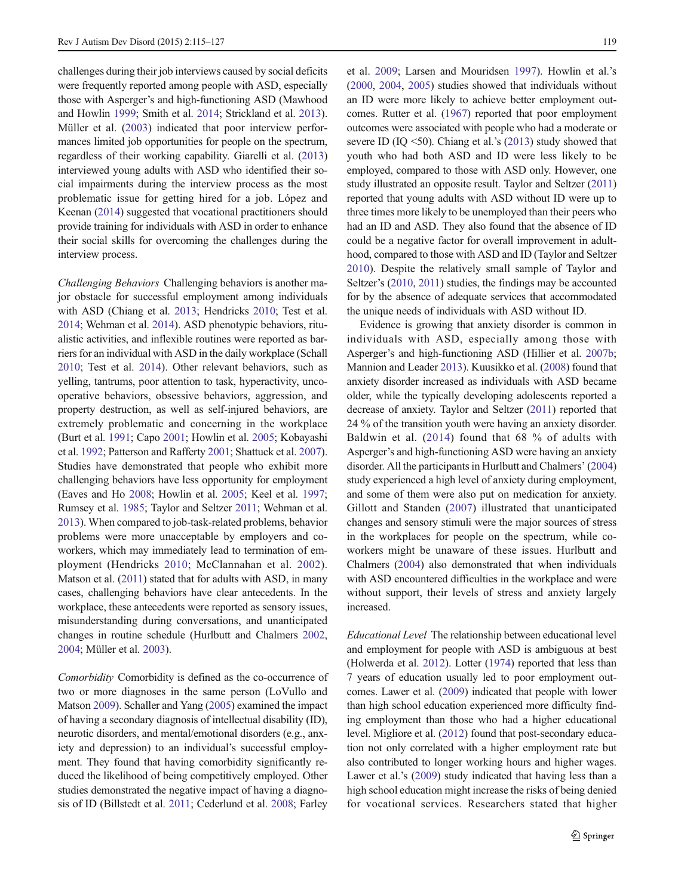challenges during their job interviews caused by social deficits were frequently reported among people with ASD, especially those with Asperger's and high-functioning ASD (Mawhood and Howlin [1999;](#page-11-0) Smith et al. [2014](#page-12-0); Strickland et al. [2013\)](#page-12-0). Müller et al. ([2003\)](#page-11-0) indicated that poor interview performances limited job opportunities for people on the spectrum, regardless of their working capability. Giarelli et al. [\(2013\)](#page-10-0) interviewed young adults with ASD who identified their social impairments during the interview process as the most problematic issue for getting hired for a job. López and Keenan [\(2014](#page-11-0)) suggested that vocational practitioners should provide training for individuals with ASD in order to enhance their social skills for overcoming the challenges during the interview process.

Challenging Behaviors Challenging behaviors is another major obstacle for successful employment among individuals with ASD (Chiang et al. [2013;](#page-9-0) Hendricks [2010](#page-10-0); Test et al. [2014;](#page-12-0) Wehman et al. [2014\)](#page-12-0). ASD phenotypic behaviors, ritualistic activities, and inflexible routines were reported as barriers for an individual with ASD in the daily workplace (Schall [2010;](#page-11-0) Test et al. [2014](#page-12-0)). Other relevant behaviors, such as yelling, tantrums, poor attention to task, hyperactivity, uncooperative behaviors, obsessive behaviors, aggression, and property destruction, as well as self-injured behaviors, are extremely problematic and concerning in the workplace (Burt et al. [1991](#page-9-0); Capo [2001;](#page-9-0) Howlin et al. [2005](#page-10-0); Kobayashi et al. [1992;](#page-10-0) Patterson and Rafferty [2001](#page-11-0); Shattuck et al. [2007\)](#page-12-0). Studies have demonstrated that people who exhibit more challenging behaviors have less opportunity for employment (Eaves and Ho [2008;](#page-9-0) Howlin et al. [2005](#page-10-0); Keel et al. [1997](#page-10-0); Rumsey et al. [1985;](#page-11-0) Taylor and Seltzer [2011;](#page-12-0) Wehman et al. [2013\)](#page-12-0). When compared to job-task-related problems, behavior problems were more unacceptable by employers and coworkers, which may immediately lead to termination of employment (Hendricks [2010;](#page-10-0) McClannahan et al. [2002](#page-11-0)). Matson et al. [\(2011](#page-11-0)) stated that for adults with ASD, in many cases, challenging behaviors have clear antecedents. In the workplace, these antecedents were reported as sensory issues, misunderstanding during conversations, and unanticipated changes in routine schedule (Hurlbutt and Chalmers [2002,](#page-10-0) [2004;](#page-10-0) Müller et al. [2003\)](#page-11-0).

Comorbidity Comorbidity is defined as the co-occurrence of two or more diagnoses in the same person (LoVullo and Matson [2009\)](#page-11-0). Schaller and Yang [\(2005\)](#page-11-0) examined the impact of having a secondary diagnosis of intellectual disability (ID), neurotic disorders, and mental/emotional disorders (e.g., anxiety and depression) to an individual's successful employment. They found that having comorbidity significantly reduced the likelihood of being competitively employed. Other studies demonstrated the negative impact of having a diagnosis of ID (Billstedt et al. [2011](#page-9-0); Cederlund et al. [2008;](#page-9-0) Farley

et al. [2009;](#page-9-0) Larsen and Mouridsen [1997](#page-10-0)). Howlin et al.'s [\(2000,](#page-10-0) [2004](#page-10-0), [2005\)](#page-10-0) studies showed that individuals without an ID were more likely to achieve better employment outcomes. Rutter et al. ([1967](#page-11-0)) reported that poor employment outcomes were associated with people who had a moderate or severe ID (IQ <50). Chiang et al.'s [\(2013\)](#page-9-0) study showed that youth who had both ASD and ID were less likely to be employed, compared to those with ASD only. However, one study illustrated an opposite result. Taylor and Seltzer ([2011](#page-12-0)) reported that young adults with ASD without ID were up to three times more likely to be unemployed than their peers who had an ID and ASD. They also found that the absence of ID could be a negative factor for overall improvement in adulthood, compared to those with ASD and ID (Taylor and Seltzer [2010](#page-12-0)). Despite the relatively small sample of Taylor and Seltzer's [\(2010](#page-12-0), [2011\)](#page-12-0) studies, the findings may be accounted for by the absence of adequate services that accommodated the unique needs of individuals with ASD without ID.

Evidence is growing that anxiety disorder is common in individuals with ASD, especially among those with Asperger's and high-functioning ASD (Hillier et al. [2007b;](#page-10-0) Mannion and Leader [2013](#page-11-0)). Kuusikko et al. [\(2008\)](#page-10-0) found that anxiety disorder increased as individuals with ASD became older, while the typically developing adolescents reported a decrease of anxiety. Taylor and Seltzer [\(2011](#page-12-0)) reported that 24 % of the transition youth were having an anxiety disorder. Baldwin et al. ([2014\)](#page-9-0) found that 68 % of adults with Asperger's and high-functioning ASD were having an anxiety disorder. All the participants in Hurlbutt and Chalmers' [\(2004](#page-10-0)) study experienced a high level of anxiety during employment, and some of them were also put on medication for anxiety. Gillott and Standen ([2007](#page-10-0)) illustrated that unanticipated changes and sensory stimuli were the major sources of stress in the workplaces for people on the spectrum, while coworkers might be unaware of these issues. Hurlbutt and Chalmers [\(2004](#page-10-0)) also demonstrated that when individuals with ASD encountered difficulties in the workplace and were without support, their levels of stress and anxiety largely increased.

Educational Level The relationship between educational level and employment for people with ASD is ambiguous at best (Holwerda et al. [2012\)](#page-10-0). Lotter [\(1974\)](#page-11-0) reported that less than 7 years of education usually led to poor employment outcomes. Lawer et al. [\(2009\)](#page-10-0) indicated that people with lower than high school education experienced more difficulty finding employment than those who had a higher educational level. Migliore et al. [\(2012\)](#page-11-0) found that post-secondary education not only correlated with a higher employment rate but also contributed to longer working hours and higher wages. Lawer et al.'s [\(2009\)](#page-10-0) study indicated that having less than a high school education might increase the risks of being denied for vocational services. Researchers stated that higher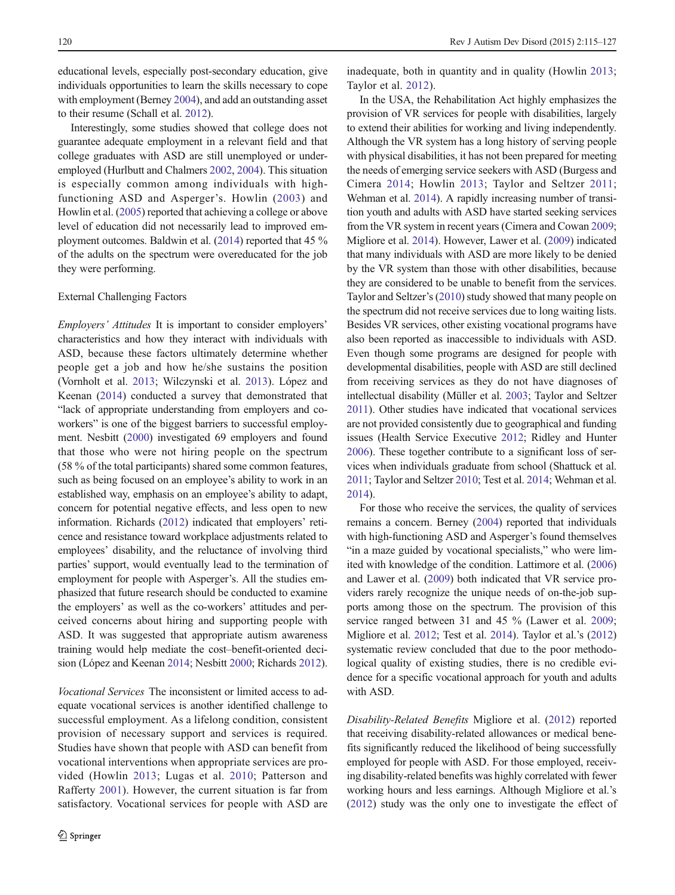educational levels, especially post-secondary education, give individuals opportunities to learn the skills necessary to cope with employment (Berney [2004](#page-9-0)), and add an outstanding asset to their resume (Schall et al. [2012\)](#page-11-0).

Interestingly, some studies showed that college does not guarantee adequate employment in a relevant field and that college graduates with ASD are still unemployed or underemployed (Hurlbutt and Chalmers [2002,](#page-10-0) [2004\)](#page-10-0). This situation is especially common among individuals with highfunctioning ASD and Asperger's. Howlin ([2003\)](#page-10-0) and Howlin et al. [\(2005\)](#page-10-0) reported that achieving a college or above level of education did not necessarily lead to improved employment outcomes. Baldwin et al. [\(2014\)](#page-9-0) reported that 45 % of the adults on the spectrum were overeducated for the job they were performing.

## External Challenging Factors

Employers' Attitudes It is important to consider employers' characteristics and how they interact with individuals with ASD, because these factors ultimately determine whether people get a job and how he/she sustains the position (Vornholt et al. [2013;](#page-12-0) Wilczynski et al. [2013](#page-12-0)). López and Keenan [\(2014](#page-11-0)) conducted a survey that demonstrated that "lack of appropriate understanding from employers and coworkers" is one of the biggest barriers to successful employment. Nesbitt [\(2000\)](#page-11-0) investigated 69 employers and found that those who were not hiring people on the spectrum (58 % of the total participants) shared some common features, such as being focused on an employee's ability to work in an established way, emphasis on an employee's ability to adapt, concern for potential negative effects, and less open to new information. Richards [\(2012\)](#page-11-0) indicated that employers' reticence and resistance toward workplace adjustments related to employees' disability, and the reluctance of involving third parties' support, would eventually lead to the termination of employment for people with Asperger's. All the studies emphasized that future research should be conducted to examine the employers' as well as the co-workers' attitudes and perceived concerns about hiring and supporting people with ASD. It was suggested that appropriate autism awareness training would help mediate the cost–benefit-oriented decision (López and Keenan [2014](#page-11-0); Nesbitt [2000](#page-11-0); Richards [2012\)](#page-11-0).

Vocational Services The inconsistent or limited access to adequate vocational services is another identified challenge to successful employment. As a lifelong condition, consistent provision of necessary support and services is required. Studies have shown that people with ASD can benefit from vocational interventions when appropriate services are provided (Howlin [2013;](#page-10-0) Lugas et al. [2010;](#page-11-0) Patterson and Rafferty [2001](#page-11-0)). However, the current situation is far from satisfactory. Vocational services for people with ASD are inadequate, both in quantity and in quality (Howlin [2013;](#page-10-0) Taylor et al. [2012\)](#page-12-0).

In the USA, the Rehabilitation Act highly emphasizes the provision of VR services for people with disabilities, largely to extend their abilities for working and living independently. Although the VR system has a long history of serving people with physical disabilities, it has not been prepared for meeting the needs of emerging service seekers with ASD (Burgess and Cimera [2014;](#page-9-0) Howlin [2013](#page-10-0); Taylor and Seltzer [2011;](#page-12-0) Wehman et al. [2014](#page-12-0)). A rapidly increasing number of transition youth and adults with ASD have started seeking services from the VR system in recent years (Cimera and Cowan [2009;](#page-9-0) Migliore et al. [2014](#page-11-0)). However, Lawer et al. ([2009](#page-10-0)) indicated that many individuals with ASD are more likely to be denied by the VR system than those with other disabilities, because they are considered to be unable to benefit from the services. Taylor and Seltzer's [\(2010\)](#page-12-0) study showed that many people on the spectrum did not receive services due to long waiting lists. Besides VR services, other existing vocational programs have also been reported as inaccessible to individuals with ASD. Even though some programs are designed for people with developmental disabilities, people with ASD are still declined from receiving services as they do not have diagnoses of intellectual disability (Müller et al. [2003;](#page-11-0) Taylor and Seltzer [2011](#page-12-0)). Other studies have indicated that vocational services are not provided consistently due to geographical and funding issues (Health Service Executive [2012](#page-10-0); Ridley and Hunter [2006\)](#page-11-0). These together contribute to a significant loss of services when individuals graduate from school (Shattuck et al. [2011](#page-12-0); Taylor and Seltzer [2010;](#page-12-0) Test et al. [2014;](#page-12-0) Wehman et al. [2014\)](#page-12-0).

For those who receive the services, the quality of services remains a concern. Berney ([2004](#page-9-0)) reported that individuals with high-functioning ASD and Asperger's found themselves "in a maze guided by vocational specialists," who were limited with knowledge of the condition. Lattimore et al. [\(2006](#page-10-0)) and Lawer et al. ([2009](#page-10-0)) both indicated that VR service providers rarely recognize the unique needs of on-the-job supports among those on the spectrum. The provision of this service ranged between 31 and 45 % (Lawer et al. [2009;](#page-10-0) Migliore et al. [2012](#page-11-0); Test et al. [2014](#page-12-0)). Taylor et al.'s [\(2012](#page-12-0)) systematic review concluded that due to the poor methodological quality of existing studies, there is no credible evidence for a specific vocational approach for youth and adults with ASD.

Disability-Related Benefits Migliore et al. [\(2012](#page-11-0)) reported that receiving disability-related allowances or medical benefits significantly reduced the likelihood of being successfully employed for people with ASD. For those employed, receiving disability-related benefits was highly correlated with fewer working hours and less earnings. Although Migliore et al.'s [\(2012\)](#page-11-0) study was the only one to investigate the effect of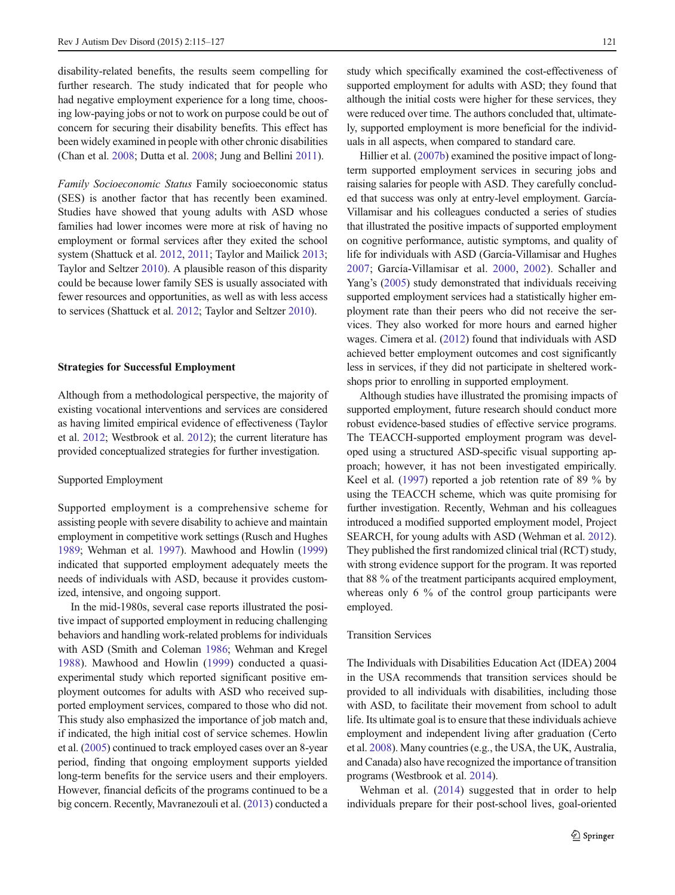disability-related benefits, the results seem compelling for further research. The study indicated that for people who had negative employment experience for a long time, choosing low-paying jobs or not to work on purpose could be out of concern for securing their disability benefits. This effect has been widely examined in people with other chronic disabilities (Chan et al. [2008;](#page-9-0) Dutta et al. [2008](#page-9-0); Jung and Bellini [2011](#page-10-0)).

Family Socioeconomic Status Family socioeconomic status (SES) is another factor that has recently been examined. Studies have showed that young adults with ASD whose families had lower incomes were more at risk of having no employment or formal services after they exited the school system (Shattuck et al. [2012,](#page-11-0) [2011;](#page-12-0) Taylor and Mailick [2013](#page-12-0); Taylor and Seltzer [2010\)](#page-12-0). A plausible reason of this disparity could be because lower family SES is usually associated with fewer resources and opportunities, as well as with less access to services (Shattuck et al. [2012;](#page-11-0) Taylor and Seltzer [2010](#page-12-0)).

#### Strategies for Successful Employment

Although from a methodological perspective, the majority of existing vocational interventions and services are considered as having limited empirical evidence of effectiveness (Taylor et al. [2012;](#page-12-0) Westbrook et al. [2012\)](#page-12-0); the current literature has provided conceptualized strategies for further investigation.

# Supported Employment

Supported employment is a comprehensive scheme for assisting people with severe disability to achieve and maintain employment in competitive work settings (Rusch and Hughes [1989;](#page-11-0) Wehman et al. [1997](#page-12-0)). Mawhood and Howlin [\(1999\)](#page-11-0) indicated that supported employment adequately meets the needs of individuals with ASD, because it provides customized, intensive, and ongoing support.

In the mid-1980s, several case reports illustrated the positive impact of supported employment in reducing challenging behaviors and handling work-related problems for individuals with ASD (Smith and Coleman [1986;](#page-12-0) Wehman and Kregel [1988](#page-12-0)). Mawhood and Howlin ([1999\)](#page-11-0) conducted a quasiexperimental study which reported significant positive employment outcomes for adults with ASD who received supported employment services, compared to those who did not. This study also emphasized the importance of job match and, if indicated, the high initial cost of service schemes. Howlin et al. ([2005](#page-10-0)) continued to track employed cases over an 8-year period, finding that ongoing employment supports yielded long-term benefits for the service users and their employers. However, financial deficits of the programs continued to be a big concern. Recently, Mavranezouli et al. [\(2013\)](#page-11-0) conducted a study which specifically examined the cost-effectiveness of supported employment for adults with ASD; they found that although the initial costs were higher for these services, they were reduced over time. The authors concluded that, ultimately, supported employment is more beneficial for the individuals in all aspects, when compared to standard care.

Hillier et al. [\(2007b\)](#page-10-0) examined the positive impact of longterm supported employment services in securing jobs and raising salaries for people with ASD. They carefully concluded that success was only at entry-level employment. García-Villamisar and his colleagues conducted a series of studies that illustrated the positive impacts of supported employment on cognitive performance, autistic symptoms, and quality of life for individuals with ASD (García-Villamisar and Hughes [2007](#page-9-0); García-Villamisar et al. [2000](#page-10-0), [2002](#page-10-0)). Schaller and Yang's [\(2005\)](#page-11-0) study demonstrated that individuals receiving supported employment services had a statistically higher employment rate than their peers who did not receive the services. They also worked for more hours and earned higher wages. Cimera et al. [\(2012\)](#page-9-0) found that individuals with ASD achieved better employment outcomes and cost significantly less in services, if they did not participate in sheltered workshops prior to enrolling in supported employment.

Although studies have illustrated the promising impacts of supported employment, future research should conduct more robust evidence-based studies of effective service programs. The TEACCH-supported employment program was developed using a structured ASD-specific visual supporting approach; however, it has not been investigated empirically. Keel et al. ([1997](#page-10-0)) reported a job retention rate of 89 % by using the TEACCH scheme, which was quite promising for further investigation. Recently, Wehman and his colleagues introduced a modified supported employment model, Project SEARCH, for young adults with ASD (Wehman et al. [2012\)](#page-12-0). They published the first randomized clinical trial (RCT) study, with strong evidence support for the program. It was reported that 88 % of the treatment participants acquired employment, whereas only 6 % of the control group participants were employed.

# Transition Services

The Individuals with Disabilities Education Act (IDEA) 2004 in the USA recommends that transition services should be provided to all individuals with disabilities, including those with ASD, to facilitate their movement from school to adult life. Its ultimate goal is to ensure that these individuals achieve employment and independent living after graduation (Certo et al. [2008\)](#page-9-0). Many countries (e.g., the USA, the UK, Australia, and Canada) also have recognized the importance of transition programs (Westbrook et al. [2014](#page-12-0)).

Wehman et al. [\(2014](#page-12-0)) suggested that in order to help individuals prepare for their post-school lives, goal-oriented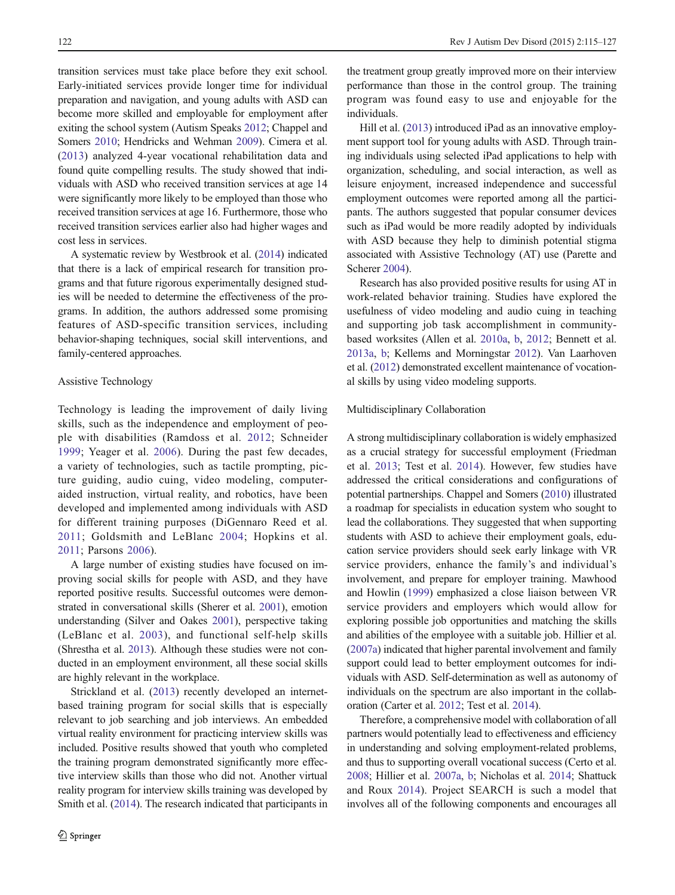transition services must take place before they exit school. Early-initiated services provide longer time for individual preparation and navigation, and young adults with ASD can become more skilled and employable for employment after exiting the school system (Autism Speaks [2012](#page-9-0); Chappel and Somers [2010](#page-9-0); Hendricks and Wehman [2009](#page-10-0)). Cimera et al. [\(2013](#page-9-0)) analyzed 4-year vocational rehabilitation data and found quite compelling results. The study showed that individuals with ASD who received transition services at age 14 were significantly more likely to be employed than those who received transition services at age 16. Furthermore, those who received transition services earlier also had higher wages and cost less in services.

A systematic review by Westbrook et al. [\(2014\)](#page-12-0) indicated that there is a lack of empirical research for transition programs and that future rigorous experimentally designed studies will be needed to determine the effectiveness of the programs. In addition, the authors addressed some promising features of ASD-specific transition services, including behavior-shaping techniques, social skill interventions, and family-centered approaches.

# Assistive Technology

Technology is leading the improvement of daily living skills, such as the independence and employment of people with disabilities (Ramdoss et al. [2012](#page-11-0); Schneider [1999](#page-11-0); Yeager et al. [2006](#page-12-0)). During the past few decades, a variety of technologies, such as tactile prompting, picture guiding, audio cuing, video modeling, computeraided instruction, virtual reality, and robotics, have been developed and implemented among individuals with ASD for different training purposes (DiGennaro Reed et al. [2011](#page-9-0); Goldsmith and LeBlanc [2004](#page-10-0); Hopkins et al. [2011](#page-10-0); Parsons [2006\)](#page-11-0).

A large number of existing studies have focused on improving social skills for people with ASD, and they have reported positive results. Successful outcomes were demonstrated in conversational skills (Sherer et al. [2001](#page-12-0)), emotion understanding (Silver and Oakes [2001\)](#page-12-0), perspective taking (LeBlanc et al. [2003\)](#page-10-0), and functional self-help skills (Shrestha et al. [2013\)](#page-12-0). Although these studies were not conducted in an employment environment, all these social skills are highly relevant in the workplace.

Strickland et al. [\(2013\)](#page-12-0) recently developed an internetbased training program for social skills that is especially relevant to job searching and job interviews. An embedded virtual reality environment for practicing interview skills was included. Positive results showed that youth who completed the training program demonstrated significantly more effective interview skills than those who did not. Another virtual reality program for interview skills training was developed by Smith et al. ([2014](#page-12-0)). The research indicated that participants in

the treatment group greatly improved more on their interview performance than those in the control group. The training program was found easy to use and enjoyable for the individuals.

Hill et al. ([2013](#page-10-0)) introduced iPad as an innovative employment support tool for young adults with ASD. Through training individuals using selected iPad applications to help with organization, scheduling, and social interaction, as well as leisure enjoyment, increased independence and successful employment outcomes were reported among all the participants. The authors suggested that popular consumer devices such as iPad would be more readily adopted by individuals with ASD because they help to diminish potential stigma associated with Assistive Technology (AT) use (Parette and Scherer [2004\)](#page-11-0).

Research has also provided positive results for using AT in work-related behavior training. Studies have explored the usefulness of video modeling and audio cuing in teaching and supporting job task accomplishment in communitybased worksites (Allen et al. [2010a,](#page-9-0) [b,](#page-9-0) [2012](#page-9-0); Bennett et al. [2013a,](#page-9-0) [b](#page-9-0); Kellems and Morningstar [2012\)](#page-10-0). Van Laarhoven et al. [\(2012\)](#page-12-0) demonstrated excellent maintenance of vocational skills by using video modeling supports.

# Multidisciplinary Collaboration

A strong multidisciplinary collaboration is widely emphasized as a crucial strategy for successful employment (Friedman et al. [2013;](#page-9-0) Test et al. [2014\)](#page-12-0). However, few studies have addressed the critical considerations and configurations of potential partnerships. Chappel and Somers ([2010](#page-9-0)) illustrated a roadmap for specialists in education system who sought to lead the collaborations. They suggested that when supporting students with ASD to achieve their employment goals, education service providers should seek early linkage with VR service providers, enhance the family's and individual's involvement, and prepare for employer training. Mawhood and Howlin [\(1999\)](#page-11-0) emphasized a close liaison between VR service providers and employers which would allow for exploring possible job opportunities and matching the skills and abilities of the employee with a suitable job. Hillier et al. [\(2007a](#page-10-0)) indicated that higher parental involvement and family support could lead to better employment outcomes for individuals with ASD. Self-determination as well as autonomy of individuals on the spectrum are also important in the collaboration (Carter et al. [2012;](#page-9-0) Test et al. [2014\)](#page-12-0).

Therefore, a comprehensive model with collaboration of all partners would potentially lead to effectiveness and efficiency in understanding and solving employment-related problems, and thus to supporting overall vocational success (Certo et al. [2008;](#page-9-0) Hillier et al. [2007a,](#page-10-0) [b;](#page-10-0) Nicholas et al. [2014](#page-11-0); Shattuck and Roux [2014](#page-11-0)). Project SEARCH is such a model that involves all of the following components and encourages all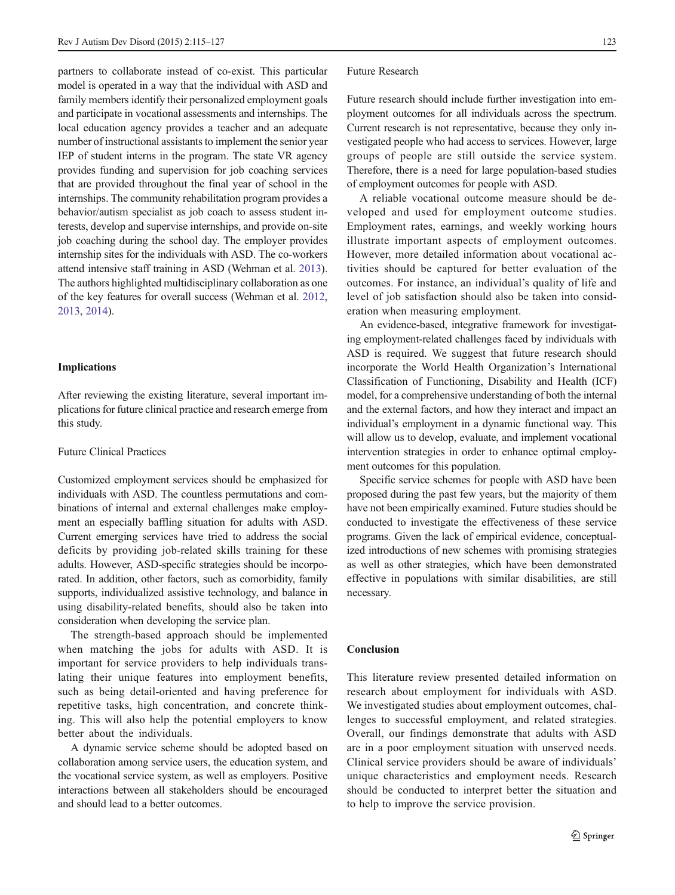partners to collaborate instead of co-exist. This particular model is operated in a way that the individual with ASD and family members identify their personalized employment goals and participate in vocational assessments and internships. The local education agency provides a teacher and an adequate number of instructional assistants to implement the senior year IEP of student interns in the program. The state VR agency provides funding and supervision for job coaching services that are provided throughout the final year of school in the internships. The community rehabilitation program provides a behavior/autism specialist as job coach to assess student interests, develop and supervise internships, and provide on-site job coaching during the school day. The employer provides internship sites for the individuals with ASD. The co-workers attend intensive staff training in ASD (Wehman et al. [2013\)](#page-12-0). The authors highlighted multidisciplinary collaboration as one of the key features for overall success (Wehman et al. [2012,](#page-12-0) [2013,](#page-12-0) [2014](#page-12-0)).

#### Implications

After reviewing the existing literature, several important implications for future clinical practice and research emerge from this study.

## Future Clinical Practices

Customized employment services should be emphasized for individuals with ASD. The countless permutations and combinations of internal and external challenges make employment an especially baffling situation for adults with ASD. Current emerging services have tried to address the social deficits by providing job-related skills training for these adults. However, ASD-specific strategies should be incorporated. In addition, other factors, such as comorbidity, family supports, individualized assistive technology, and balance in using disability-related benefits, should also be taken into consideration when developing the service plan.

The strength-based approach should be implemented when matching the jobs for adults with ASD. It is important for service providers to help individuals translating their unique features into employment benefits, such as being detail-oriented and having preference for repetitive tasks, high concentration, and concrete thinking. This will also help the potential employers to know better about the individuals.

A dynamic service scheme should be adopted based on collaboration among service users, the education system, and the vocational service system, as well as employers. Positive interactions between all stakeholders should be encouraged and should lead to a better outcomes.

#### Future Research

Future research should include further investigation into employment outcomes for all individuals across the spectrum. Current research is not representative, because they only investigated people who had access to services. However, large groups of people are still outside the service system. Therefore, there is a need for large population-based studies of employment outcomes for people with ASD.

A reliable vocational outcome measure should be developed and used for employment outcome studies. Employment rates, earnings, and weekly working hours illustrate important aspects of employment outcomes. However, more detailed information about vocational activities should be captured for better evaluation of the outcomes. For instance, an individual's quality of life and level of job satisfaction should also be taken into consideration when measuring employment.

An evidence-based, integrative framework for investigating employment-related challenges faced by individuals with ASD is required. We suggest that future research should incorporate the World Health Organization's International Classification of Functioning, Disability and Health (ICF) model, for a comprehensive understanding of both the internal and the external factors, and how they interact and impact an individual's employment in a dynamic functional way. This will allow us to develop, evaluate, and implement vocational intervention strategies in order to enhance optimal employment outcomes for this population.

Specific service schemes for people with ASD have been proposed during the past few years, but the majority of them have not been empirically examined. Future studies should be conducted to investigate the effectiveness of these service programs. Given the lack of empirical evidence, conceptualized introductions of new schemes with promising strategies as well as other strategies, which have been demonstrated effective in populations with similar disabilities, are still necessary.

### Conclusion

This literature review presented detailed information on research about employment for individuals with ASD. We investigated studies about employment outcomes, challenges to successful employment, and related strategies. Overall, our findings demonstrate that adults with ASD are in a poor employment situation with unserved needs. Clinical service providers should be aware of individuals' unique characteristics and employment needs. Research should be conducted to interpret better the situation and to help to improve the service provision.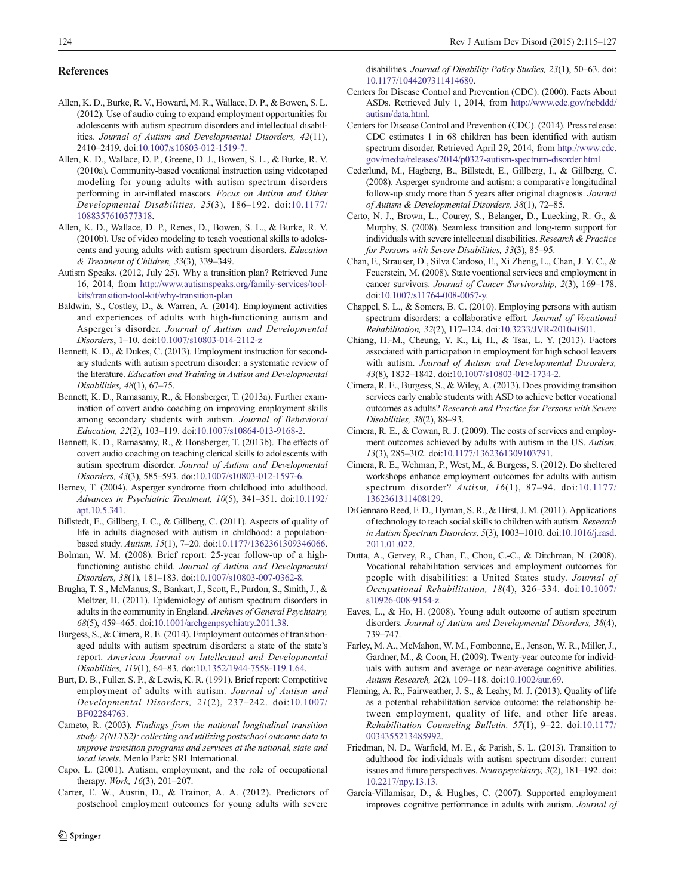#### <span id="page-9-0"></span>References

- Allen, K. D., Burke, R. V., Howard, M. R., Wallace, D. P., & Bowen, S. L. (2012). Use of audio cuing to expand employment opportunities for adolescents with autism spectrum disorders and intellectual disabilities. Journal of Autism and Developmental Disorders, 42(11), 2410–2419. doi[:10.1007/s10803-012-1519-7.](http://dx.doi.org/10.1007/s10803-012-1519-7)
- Allen, K. D., Wallace, D. P., Greene, D. J., Bowen, S. L., & Burke, R. V. (2010a). Community-based vocational instruction using videotaped modeling for young adults with autism spectrum disorders performing in air-inflated mascots. Focus on Autism and Other Developmental Disabilities, 25(3), 186–192. doi:[10.1177/](http://dx.doi.org/10.1177/1088357610377318) [1088357610377318](http://dx.doi.org/10.1177/1088357610377318).
- Allen, K. D., Wallace, D. P., Renes, D., Bowen, S. L., & Burke, R. V. (2010b). Use of video modeling to teach vocational skills to adolescents and young adults with autism spectrum disorders. Education & Treatment of Children, 33(3), 339–349.
- Autism Speaks. (2012, July 25). Why a transition plan? Retrieved June 16, 2014, from [http://www.autismspeaks.org/family-services/tool](http://www.autismspeaks.org/family-services/tool-kits/transition-tool-kit/why-transition-plan)[kits/transition-tool-kit/why-transition-plan](http://www.autismspeaks.org/family-services/tool-kits/transition-tool-kit/why-transition-plan)
- Baldwin, S., Costley, D., & Warren, A. (2014). Employment activities and experiences of adults with high-functioning autism and Asperger's disorder. Journal of Autism and Developmental Disorders, 1–10. doi[:10.1007/s10803-014-2112-z](http://dx.doi.org/10.1007/s10803-014-2112-z)
- Bennett, K. D., & Dukes, C. (2013). Employment instruction for secondary students with autism spectrum disorder: a systematic review of the literature. Education and Training in Autism and Developmental Disabilities, 48(1), 67–75.
- Bennett, K. D., Ramasamy, R., & Honsberger, T. (2013a). Further examination of covert audio coaching on improving employment skills among secondary students with autism. Journal of Behavioral Education, 22(2), 103–119. doi:[10.1007/s10864-013-9168-2](http://dx.doi.org/10.1007/s10864-013-9168-2).
- Bennett, K. D., Ramasamy, R., & Honsberger, T. (2013b). The effects of covert audio coaching on teaching clerical skills to adolescents with autism spectrum disorder. Journal of Autism and Developmental Disorders, 43(3), 585–593. doi:[10.1007/s10803-012-1597-6](http://dx.doi.org/10.1007/s10803-012-1597-6).
- Berney, T. (2004). Asperger syndrome from childhood into adulthood. Advances in Psychiatric Treatment, 10(5), 341–351. doi[:10.1192/](http://dx.doi.org/10.1192/apt.10.5.341) [apt.10.5.341.](http://dx.doi.org/10.1192/apt.10.5.341)
- Billstedt, E., Gillberg, I. C., & Gillberg, C. (2011). Aspects of quality of life in adults diagnosed with autism in childhood: a populationbased study. Autism, 15(1), 7–20. doi[:10.1177/1362361309346066](http://dx.doi.org/10.1177/1362361309346066).
- Bolman, W. M. (2008). Brief report: 25-year follow-up of a highfunctioning autistic child. Journal of Autism and Developmental Disorders, 38(1), 181–183. doi:[10.1007/s10803-007-0362-8](http://dx.doi.org/10.1007/s10803-007-0362-8).
- Brugha, T. S., McManus, S., Bankart, J., Scott, F., Purdon, S., Smith, J., & Meltzer, H. (2011). Epidemiology of autism spectrum disorders in adults in the community in England. Archives of General Psychiatry, 68(5), 459–465. doi[:10.1001/archgenpsychiatry.2011.38.](http://dx.doi.org/10.1001/archgenpsychiatry.2011.38)
- Burgess, S., & Cimera, R. E. (2014). Employment outcomes of transitionaged adults with autism spectrum disorders: a state of the state's report. American Journal on Intellectual and Developmental Disabilities, 119(1), 64–83. doi:[10.1352/1944-7558-119.1.64.](http://dx.doi.org/10.1352/1944-7558-119.1.64)
- Burt, D. B., Fuller, S. P., & Lewis, K. R. (1991). Brief report: Competitive employment of adults with autism. Journal of Autism and Developmental Disorders, 21(2), 237–242. doi:[10.1007/](http://dx.doi.org/10.1007/BF02284763) [BF02284763](http://dx.doi.org/10.1007/BF02284763).
- Cameto, R. (2003). Findings from the national longitudinal transition study-2(NLTS2): collecting and utilizing postschool outcome data to improve transition programs and services at the national, state and local levels. Menlo Park: SRI International.
- Capo, L. (2001). Autism, employment, and the role of occupational therapy. Work, 16(3), 201–207.
- Carter, E. W., Austin, D., & Trainor, A. A. (2012). Predictors of postschool employment outcomes for young adults with severe

disabilities. Journal of Disability Policy Studies, 23(1), 50–63. doi: [10.1177/1044207311414680.](http://dx.doi.org/10.1177/1044207311414680)

- Centers for Disease Control and Prevention (CDC). (2000). Facts About ASDs. Retrieved July 1, 2014, from [http://www.cdc.gov/ncbddd/](http://www.cdc.gov/ncbddd/autism/data.html) [autism/data.html.](http://www.cdc.gov/ncbddd/autism/data.html)
- Centers for Disease Control and Prevention (CDC). (2014). Press release: CDC estimates 1 in 68 children has been identified with autism spectrum disorder. Retrieved April 29, 2014, from [http://www.cdc.](http://www.cdc.gov/media/releases/2014/p0327-autism-spectrum-disorder.html) [gov/media/releases/2014/p0327-autism-spectrum-disorder.html](http://www.cdc.gov/media/releases/2014/p0327-autism-spectrum-disorder.html)
- Cederlund, M., Hagberg, B., Billstedt, E., Gillberg, I., & Gillberg, C. (2008). Asperger syndrome and autism: a comparative longitudinal follow-up study more than 5 years after original diagnosis. Journal of Autism & Developmental Disorders, 38(1), 72–85.
- Certo, N. J., Brown, L., Courey, S., Belanger, D., Luecking, R. G., & Murphy, S. (2008). Seamless transition and long-term support for individuals with severe intellectual disabilities. Research & Practice for Persons with Severe Disabilities, 33(3), 85–95.
- Chan, F., Strauser, D., Silva Cardoso, E., Xi Zheng, L., Chan, J. Y. C., & Feuerstein, M. (2008). State vocational services and employment in cancer survivors. Journal of Cancer Survivorship, 2(3), 169–178. doi:[10.1007/s11764-008-0057-y.](http://dx.doi.org/10.1007/s11764-008-0057-y)
- Chappel, S. L., & Somers, B. C. (2010). Employing persons with autism spectrum disorders: a collaborative effort. Journal of Vocational Rehabilitation, 32(2), 117–124. doi:[10.3233/JVR-2010-0501.](http://dx.doi.org/10.3233/JVR-2010-0501)
- Chiang, H.-M., Cheung, Y. K., Li, H., & Tsai, L. Y. (2013). Factors associated with participation in employment for high school leavers with autism. Journal of Autism and Developmental Disorders, 43(8), 1832–1842. doi[:10.1007/s10803-012-1734-2](http://dx.doi.org/10.1007/s10803-012-1734-2).
- Cimera, R. E., Burgess, S., & Wiley, A. (2013). Does providing transition services early enable students with ASD to achieve better vocational outcomes as adults? Research and Practice for Persons with Severe Disabilities, 38(2), 88–93.
- Cimera, R. E., & Cowan, R. J. (2009). The costs of services and employment outcomes achieved by adults with autism in the US. Autism, 13(3), 285–302. doi[:10.1177/1362361309103791.](http://dx.doi.org/10.1177/1362361309103791)
- Cimera, R. E., Wehman, P., West, M., & Burgess, S. (2012). Do sheltered workshops enhance employment outcomes for adults with autism spectrum disorder? Autism, 16(1), 87–94. doi:[10.1177/](http://dx.doi.org/10.1177/1362361311408129) [1362361311408129.](http://dx.doi.org/10.1177/1362361311408129)
- DiGennaro Reed, F. D., Hyman, S. R., & Hirst, J. M. (2011). Applications of technology to teach social skills to children with autism. Research in Autism Spectrum Disorders, 5(3), 1003–1010. doi[:10.1016/j.rasd.](http://dx.doi.org/10.1016/j.rasd.2011.01.022) [2011.01.022](http://dx.doi.org/10.1016/j.rasd.2011.01.022).
- Dutta, A., Gervey, R., Chan, F., Chou, C.-C., & Ditchman, N. (2008). Vocational rehabilitation services and employment outcomes for people with disabilities: a United States study. Journal of Occupational Rehabilitation, 18(4), 326–334. doi[:10.1007/](http://dx.doi.org/10.1007/s10926-008-9154-z) [s10926-008-9154-z](http://dx.doi.org/10.1007/s10926-008-9154-z).
- Eaves, L., & Ho, H. (2008). Young adult outcome of autism spectrum disorders. Journal of Autism and Developmental Disorders, 38(4), 739–747.
- Farley, M. A., McMahon, W. M., Fombonne, E., Jenson, W. R., Miller, J., Gardner, M., & Coon, H. (2009). Twenty-year outcome for individuals with autism and average or near-average cognitive abilities. Autism Research, 2(2), 109–118. doi[:10.1002/aur.69](http://dx.doi.org/10.1002/aur.69).
- Fleming, A. R., Fairweather, J. S., & Leahy, M. J. (2013). Quality of life as a potential rehabilitation service outcome: the relationship between employment, quality of life, and other life areas. Rehabilitation Counseling Bulletin, 57(1), 9–22. doi:[10.1177/](http://dx.doi.org/10.1177/0034355213485992) [0034355213485992](http://dx.doi.org/10.1177/0034355213485992).
- Friedman, N. D., Warfield, M. E., & Parish, S. L. (2013). Transition to adulthood for individuals with autism spectrum disorder: current issues and future perspectives. Neuropsychiatry, 3(2), 181–192. doi: [10.2217/npy.13.13.](http://dx.doi.org/10.2217/npy.13.13)
- García-Villamisar, D., & Hughes, C. (2007). Supported employment improves cognitive performance in adults with autism. Journal of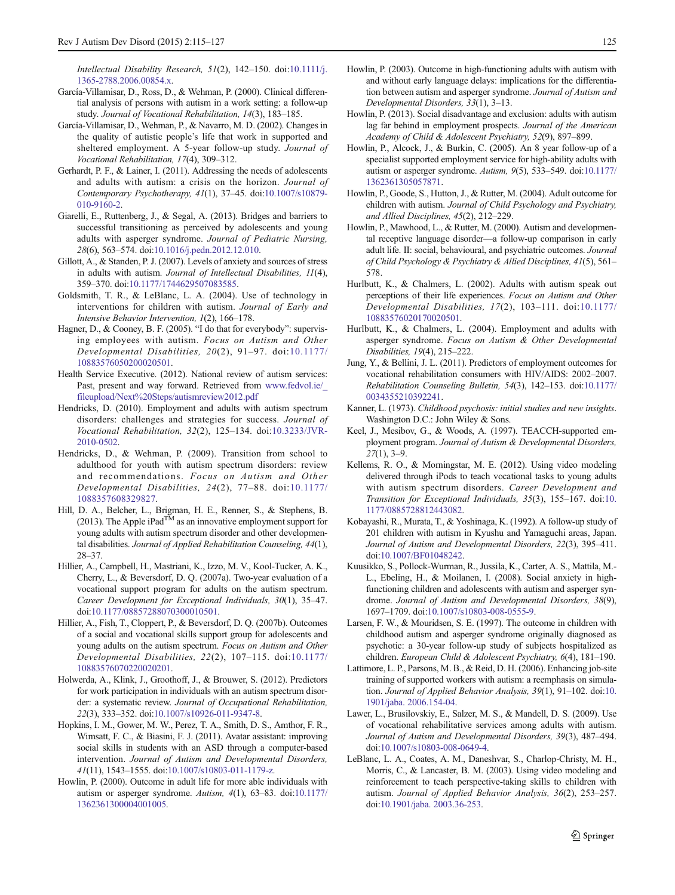<span id="page-10-0"></span>Intellectual Disability Research, 51(2), 142–150. doi:[10.1111/j.](http://dx.doi.org/10.1111/j.1365-2788.2006.00854.x) [1365-2788.2006.00854.x](http://dx.doi.org/10.1111/j.1365-2788.2006.00854.x).

- García-Villamisar, D., Ross, D., & Wehman, P. (2000). Clinical differential analysis of persons with autism in a work setting: a follow-up study. Journal of Vocational Rehabilitation, 14(3), 183–185.
- García-Villamisar, D., Wehman, P., & Navarro, M. D. (2002). Changes in the quality of autistic people's life that work in supported and sheltered employment. A 5-year follow-up study. Journal of Vocational Rehabilitation, 17(4), 309–312.
- Gerhardt, P. F., & Lainer, I. (2011). Addressing the needs of adolescents and adults with autism: a crisis on the horizon. Journal of Contemporary Psychotherapy, 41(1), 37–45. doi:[10.1007/s10879-](http://dx.doi.org/10.1007/s10879-010-9160-2) [010-9160-2](http://dx.doi.org/10.1007/s10879-010-9160-2).
- Giarelli, E., Ruttenberg, J., & Segal, A. (2013). Bridges and barriers to successful transitioning as perceived by adolescents and young adults with asperger syndrome. Journal of Pediatric Nursing, 28(6), 563–574. doi[:10.1016/j.pedn.2012.12.010](http://dx.doi.org/10.1016/j.pedn.2012.12.010).
- Gillott, A., & Standen, P. J. (2007). Levels of anxiety and sources of stress in adults with autism. Journal of Intellectual Disabilities, 11(4), 359–370. doi[:10.1177/1744629507083585.](http://dx.doi.org/10.1177/1744629507083585)
- Goldsmith, T. R., & LeBlanc, L. A. (2004). Use of technology in interventions for children with autism. Journal of Early and Intensive Behavior Intervention, 1(2), 166–178.
- Hagner, D., & Cooney, B. F. (2005). "I do that for everybody": supervising employees with autism. Focus on Autism and Other Developmental Disabilities, 20(2), 91–97. doi:[10.1177/](http://dx.doi.org/10.1177/10883576050200020501) [10883576050200020501.](http://dx.doi.org/10.1177/10883576050200020501)
- Health Service Executive. (2012). National review of autism services: Past, present and way forward. Retrieved from www.fedvol.ie/ [fileupload/Next%20Steps/autismreview2012.pdf](http://www.fedvol.ie/_fileupload/Next%20Steps/autismreview2012.pdf)
- Hendricks, D. (2010). Employment and adults with autism spectrum disorders: challenges and strategies for success. Journal of Vocational Rehabilitation, 32(2), 125–134. doi:[10.3233/JVR-](http://dx.doi.org/10.3233/JVR-2010-0502)[2010-0502.](http://dx.doi.org/10.3233/JVR-2010-0502)
- Hendricks, D., & Wehman, P. (2009). Transition from school to adulthood for youth with autism spectrum disorders: review and recommendations. Focus on Autism and Other Developmental Disabilities, 24(2), 77–88. doi:[10.1177/](http://dx.doi.org/10.1177/1088357608329827) [1088357608329827](http://dx.doi.org/10.1177/1088357608329827).
- Hill, D. A., Belcher, L., Brigman, H. E., Renner, S., & Stephens, B. (2013). The Apple iPad<sup>TM</sup> as an innovative employment support for young adults with autism spectrum disorder and other developmental disabilities. Journal of Applied Rehabilitation Counseling, 44(1), 28–37.
- Hillier, A., Campbell, H., Mastriani, K., Izzo, M. V., Kool-Tucker, A. K., Cherry, L., & Beversdorf, D. Q. (2007a). Two-year evaluation of a vocational support program for adults on the autism spectrum. Career Development for Exceptional Individuals, 30(1), 35–47. doi:[10.1177/08857288070300010501](http://dx.doi.org/10.1177/08857288070300010501).
- Hillier, A., Fish, T., Cloppert, P., & Beversdorf, D. Q. (2007b). Outcomes of a social and vocational skills support group for adolescents and young adults on the autism spectrum. Focus on Autism and Other Developmental Disabilities, 22(2), 107–115. doi:[10.1177/](http://dx.doi.org/10.1177/10883576070220020201) [10883576070220020201.](http://dx.doi.org/10.1177/10883576070220020201)
- Holwerda, A., Klink, J., Groothoff, J., & Brouwer, S. (2012). Predictors for work participation in individuals with an autism spectrum disorder: a systematic review. Journal of Occupational Rehabilitation, 22(3), 333–352. doi[:10.1007/s10926-011-9347-8](http://dx.doi.org/10.1007/s10926-011-9347-8).
- Hopkins, I. M., Gower, M. W., Perez, T. A., Smith, D. S., Amthor, F. R., Wimsatt, F. C., & Biasini, F. J. (2011). Avatar assistant: improving social skills in students with an ASD through a computer-based intervention. Journal of Autism and Developmental Disorders, 41(11), 1543–1555. doi[:10.1007/s10803-011-1179-z.](http://dx.doi.org/10.1007/s10803-011-1179-z)
- Howlin, P. (2000). Outcome in adult life for more able individuals with autism or asperger syndrome. Autism, 4(1), 63–83. doi[:10.1177/](http://dx.doi.org/10.1177/1362361300004001005) [1362361300004001005.](http://dx.doi.org/10.1177/1362361300004001005)
- Howlin, P. (2003). Outcome in high-functioning adults with autism with and without early language delays: implications for the differentiation between autism and asperger syndrome. Journal of Autism and Developmental Disorders, 33(1), 3–13.
- Howlin, P. (2013). Social disadvantage and exclusion: adults with autism lag far behind in employment prospects. Journal of the American Academy of Child & Adolescent Psychiatry, 52(9), 897–899.
- Howlin, P., Alcock, J., & Burkin, C. (2005). An 8 year follow-up of a specialist supported employment service for high-ability adults with autism or asperger syndrome. Autism, 9(5), 533–549. doi[:10.1177/](http://dx.doi.org/10.1177/1362361305057871) [1362361305057871](http://dx.doi.org/10.1177/1362361305057871).
- Howlin, P., Goode, S., Hutton, J., & Rutter, M. (2004). Adult outcome for children with autism. Journal of Child Psychology and Psychiatry, and Allied Disciplines, 45(2), 212–229.
- Howlin, P., Mawhood, L., & Rutter, M. (2000). Autism and developmental receptive language disorder—a follow-up comparison in early adult life. II: social, behavioural, and psychiatric outcomes. Journal of Child Psychology & Psychiatry & Allied Disciplines, 41(5), 561– 578.
- Hurlbutt, K., & Chalmers, L. (2002). Adults with autism speak out perceptions of their life experiences. Focus on Autism and Other Developmental Disabilities, 17(2), 103–111. doi:[10.1177/](http://dx.doi.org/10.1177/10883576020170020501) [10883576020170020501.](http://dx.doi.org/10.1177/10883576020170020501)
- Hurlbutt, K., & Chalmers, L. (2004). Employment and adults with asperger syndrome. Focus on Autism & Other Developmental Disabilities, 19(4), 215–222.
- Jung, Y., & Bellini, J. L. (2011). Predictors of employment outcomes for vocational rehabilitation consumers with HIV/AIDS: 2002–2007. Rehabilitation Counseling Bulletin, 54(3), 142–153. doi[:10.1177/](http://dx.doi.org/10.1177/0034355210392241) [0034355210392241](http://dx.doi.org/10.1177/0034355210392241).
- Kanner, L. (1973). Childhood psychosis: initial studies and new insights. Washington D.C.: John Wiley & Sons.
- Keel, J., Mesibov, G., & Woods, A. (1997). TEACCH-supported employment program. Journal of Autism & Developmental Disorders, 27(1), 3–9.
- Kellems, R. O., & Morningstar, M. E. (2012). Using video modeling delivered through iPods to teach vocational tasks to young adults with autism spectrum disorders. Career Development and Transition for Exceptional Individuals, 35(3), 155–167. doi:[10.](http://dx.doi.org/10.1177/0885728812443082) [1177/0885728812443082.](http://dx.doi.org/10.1177/0885728812443082)
- Kobayashi, R., Murata, T., & Yoshinaga, K. (1992). A follow-up study of 201 children with autism in Kyushu and Yamaguchi areas, Japan. Journal of Autism and Developmental Disorders, 22(3), 395–411. doi:[10.1007/BF01048242.](http://dx.doi.org/10.1007/BF01048242)
- Kuusikko, S., Pollock-Wurman, R., Jussila, K., Carter, A. S., Mattila, M.- L., Ebeling, H., & Moilanen, I. (2008). Social anxiety in highfunctioning children and adolescents with autism and asperger syndrome. Journal of Autism and Developmental Disorders, 38(9), 1697–1709. doi[:10.1007/s10803-008-0555-9](http://dx.doi.org/10.1007/s10803-008-0555-9).
- Larsen, F. W., & Mouridsen, S. E. (1997). The outcome in children with childhood autism and asperger syndrome originally diagnosed as psychotic: a 30-year follow-up study of subjects hospitalized as children. European Child & Adolescent Psychiatry, 6(4), 181–190.
- Lattimore, L. P., Parsons, M. B., & Reid, D. H. (2006). Enhancing job-site training of supported workers with autism: a reemphasis on simulation. Journal of Applied Behavior Analysis, 39(1), 91–102. doi[:10.](http://dx.doi.org/10.1901/jaba.%202006.154-04) [1901/jaba. 2006.154-04.](http://dx.doi.org/10.1901/jaba.%202006.154-04)
- Lawer, L., Brusilovskiy, E., Salzer, M. S., & Mandell, D. S. (2009). Use of vocational rehabilitative services among adults with autism. Journal of Autism and Developmental Disorders, 39(3), 487–494. doi:[10.1007/s10803-008-0649-4.](http://dx.doi.org/10.1007/s10803-008-0649-4)
- LeBlanc, L. A., Coates, A. M., Daneshvar, S., Charlop-Christy, M. H., Morris, C., & Lancaster, B. M. (2003). Using video modeling and reinforcement to teach perspective-taking skills to children with autism. Journal of Applied Behavior Analysis, 36(2), 253–257. doi:[10.1901/jaba. 2003.36-253](http://dx.doi.org/10.1901/jaba.%202003.36-253).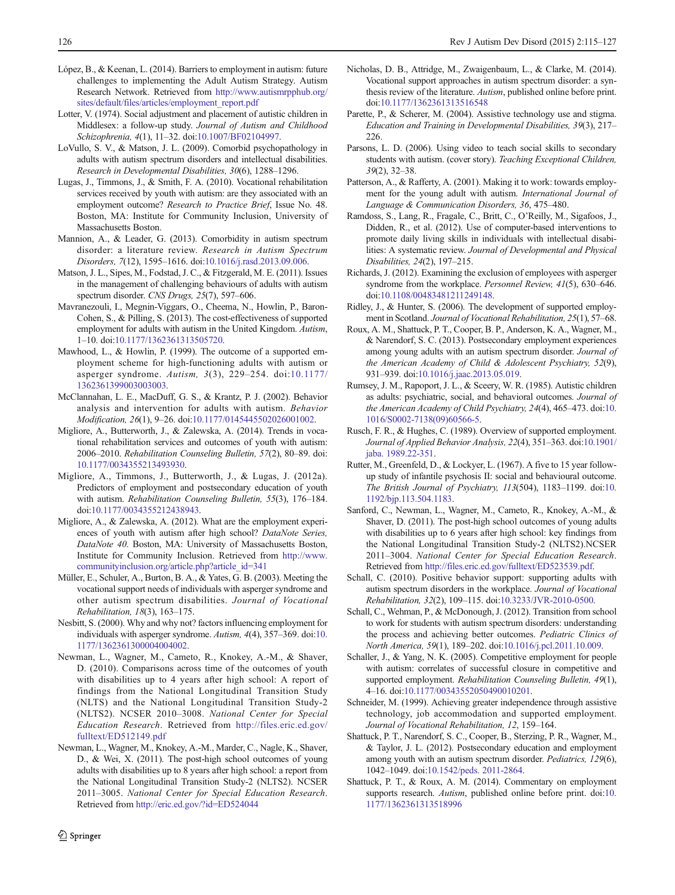- <span id="page-11-0"></span>López, B., & Keenan, L. (2014). Barriers to employment in autism: future challenges to implementing the Adult Autism Strategy. Autism Research Network. Retrieved from [http://www.autismrpphub.org/](http://www.autismrpphub.org/sites/default/files/articles/employment_report.pdf) [sites/default/files/articles/employment\\_report.pdf](http://www.autismrpphub.org/sites/default/files/articles/employment_report.pdf)
- Lotter, V. (1974). Social adjustment and placement of autistic children in Middlesex: a follow-up study. Journal of Autism and Childhood Schizophrenia, 4(1), 11–32. doi[:10.1007/BF02104997](http://dx.doi.org/10.1007/BF02104997).
- LoVullo, S. V., & Matson, J. L. (2009). Comorbid psychopathology in adults with autism spectrum disorders and intellectual disabilities. Research in Developmental Disabilities, 30(6), 1288–1296.
- Lugas, J., Timmons, J., & Smith, F. A. (2010). Vocational rehabilitation services received by youth with autism: are they associated with an employment outcome? Research to Practice Brief, Issue No. 48. Boston, MA: Institute for Community Inclusion, University of Massachusetts Boston.
- Mannion, A., & Leader, G. (2013). Comorbidity in autism spectrum disorder: a literature review. Research in Autism Spectrum Disorders, 7(12), 1595–1616. doi[:10.1016/j.rasd.2013.09.006.](http://dx.doi.org/10.1016/j.rasd.2013.09.006)
- Matson, J. L., Sipes, M., Fodstad, J. C., & Fitzgerald, M. E. (2011). Issues in the management of challenging behaviours of adults with autism spectrum disorder. CNS Drugs, 25(7), 597–606.
- Mavranezouli, I., Megnin-Viggars, O., Cheema, N., Howlin, P., Baron-Cohen, S., & Pilling, S. (2013). The cost-effectiveness of supported employment for adults with autism in the United Kingdom. Autism, 1–10. doi[:10.1177/1362361313505720](http://dx.doi.org/10.1177/1362361313505720).
- Mawhood, L., & Howlin, P. (1999). The outcome of a supported employment scheme for high-functioning adults with autism or asperger syndrome. Autism, 3(3), 229–254. doi[:10.1177/](http://dx.doi.org/10.1177/1362361399003003003) [1362361399003003003.](http://dx.doi.org/10.1177/1362361399003003003)
- McClannahan, L. E., MacDuff, G. S., & Krantz, P. J. (2002). Behavior analysis and intervention for adults with autism. Behavior Modification, 26(1), 9–26. doi[:10.1177/0145445502026001002](http://dx.doi.org/10.1177/0145445502026001002).
- Migliore, A., Butterworth, J., & Zalewska, A. (2014). Trends in vocational rehabilitation services and outcomes of youth with autism: 2006–2010. Rehabilitation Counseling Bulletin, 57(2), 80–89. doi: [10.1177/0034355213493930.](http://dx.doi.org/10.1177/0034355213493930)
- Migliore, A., Timmons, J., Butterworth, J., & Lugas, J. (2012a). Predictors of employment and postsecondary education of youth with autism. Rehabilitation Counseling Bulletin, 55(3), 176–184. doi:[10.1177/0034355212438943.](http://dx.doi.org/10.1177/0034355212438943)
- Migliore, A., & Zalewska, A. (2012). What are the employment experiences of youth with autism after high school? DataNote Series, DataNote 40. Boston, MA: University of Massachusetts Boston, Institute for Community Inclusion. Retrieved from [http://www.](http://www.communityinclusion.org/article.php?article_id=341) [communityinclusion.org/article.php?article\\_id=341](http://www.communityinclusion.org/article.php?article_id=341)
- Müller, E., Schuler, A., Burton, B. A., & Yates, G. B. (2003). Meeting the vocational support needs of individuals with asperger syndrome and other autism spectrum disabilities. Journal of Vocational Rehabilitation, 18(3), 163–175.
- Nesbitt, S. (2000). Why and why not? factors influencing employment for individuals with asperger syndrome. Autism, 4(4), 357–369. doi:[10.](http://dx.doi.org/10.1177/1362361300004004002) [1177/1362361300004004002](http://dx.doi.org/10.1177/1362361300004004002).
- Newman, L., Wagner, M., Cameto, R., Knokey, A.-M., & Shaver, D. (2010). Comparisons across time of the outcomes of youth with disabilities up to 4 years after high school: A report of findings from the National Longitudinal Transition Study (NLTS) and the National Longitudinal Transition Study-2 (NLTS2). NCSER 2010–3008. National Center for Special Education Research. Retrieved from [http://files.eric.ed.gov/](http://files.eric.ed.gov/fulltext/ED512149.pdf) [fulltext/ED512149.pdf](http://files.eric.ed.gov/fulltext/ED512149.pdf)
- Newman, L., Wagner, M., Knokey, A.-M., Marder, C., Nagle, K., Shaver, D., & Wei, X. (2011). The post-high school outcomes of young adults with disabilities up to 8 years after high school: a report from the National Longitudinal Transition Study-2 (NLTS2). NCSER 2011–3005. National Center for Special Education Research. Retrieved from <http://eric.ed.gov/?id=ED524044>
- Nicholas, D. B., Attridge, M., Zwaigenbaum, L., & Clarke, M. (2014). Vocational support approaches in autism spectrum disorder: a synthesis review of the literature. Autism, published online before print. doi:[10.1177/1362361313516548](http://dx.doi.org/10.1177/1362361313516548)
- Parette, P., & Scherer, M. (2004). Assistive technology use and stigma. Education and Training in Developmental Disabilities, 39(3), 217– 226.
- Parsons, L. D. (2006). Using video to teach social skills to secondary students with autism. (cover story). Teaching Exceptional Children, 39(2), 32–38.
- Patterson, A., & Rafferty, A. (2001). Making it to work: towards employment for the young adult with autism. International Journal of Language & Communication Disorders, 36, 475–480.
- Ramdoss, S., Lang, R., Fragale, C., Britt, C., O'Reilly, M., Sigafoos, J., Didden, R., et al. (2012). Use of computer-based interventions to promote daily living skills in individuals with intellectual disabilities: A systematic review. Journal of Developmental and Physical Disabilities, 24(2), 197–215.
- Richards, J. (2012). Examining the exclusion of employees with asperger syndrome from the workplace. Personnel Review, 41(5), 630–646. doi:[10.1108/00483481211249148.](http://dx.doi.org/10.1108/00483481211249148)
- Ridley, J., & Hunter, S. (2006). The development of supported employment in Scotland. Journal of Vocational Rehabilitation, 25(1), 57–68.
- Roux, A. M., Shattuck, P. T., Cooper, B. P., Anderson, K. A., Wagner, M., & Narendorf, S. C. (2013). Postsecondary employment experiences among young adults with an autism spectrum disorder. Journal of the American Academy of Child & Adolescent Psychiatry, 52(9), 931–939. doi[:10.1016/j.jaac.2013.05.019.](http://dx.doi.org/10.1016/j.jaac.2013.05.019)
- Rumsey, J. M., Rapoport, J. L., & Sceery, W. R. (1985). Autistic children as adults: psychiatric, social, and behavioral outcomes. Journal of the American Academy of Child Psychiatry, 24(4), 465–473. doi[:10.](http://dx.doi.org/10.1016/S0002-7138(09)60566-5) [1016/S0002-7138\(09\)60566-5](http://dx.doi.org/10.1016/S0002-7138(09)60566-5).
- Rusch, F. R., & Hughes, C. (1989). Overview of supported employment. Journal of Applied Behavior Analysis, 22(4), 351–363. doi[:10.1901/](http://dx.doi.org/10.1901/jaba.%201989.22-351) [jaba. 1989.22-351.](http://dx.doi.org/10.1901/jaba.%201989.22-351)
- Rutter, M., Greenfeld, D., & Lockyer, L. (1967). A five to 15 year followup study of infantile psychosis II: social and behavioural outcome. The British Journal of Psychiatry, 113(504), 1183–1199. doi:[10.](http://dx.doi.org/10.1192/bjp.113.504.1183) [1192/bjp.113.504.1183.](http://dx.doi.org/10.1192/bjp.113.504.1183)
- Sanford, C., Newman, L., Wagner, M., Cameto, R., Knokey, A.-M., & Shaver, D. (2011). The post-high school outcomes of young adults with disabilities up to 6 years after high school: key findings from the National Longitudinal Transition Study-2 (NLTS2).NCSER 2011–3004. National Center for Special Education Research. Retrieved from [http://files.eric.ed.gov/fulltext/ED523539.pdf.](http://files.eric.ed.gov/fulltext/ED523539.pdf)
- Schall, C. (2010). Positive behavior support: supporting adults with autism spectrum disorders in the workplace. Journal of Vocational Rehabilitation, 32(2), 109–115. doi:[10.3233/JVR-2010-0500.](http://dx.doi.org/10.3233/JVR-2010-0500)
- Schall, C., Wehman, P., & McDonough, J. (2012). Transition from school to work for students with autism spectrum disorders: understanding the process and achieving better outcomes. Pediatric Clinics of North America, 59(1), 189–202. doi[:10.1016/j.pcl.2011.10.009.](http://dx.doi.org/10.1016/j.pcl.2011.10.009)
- Schaller, J., & Yang, N. K. (2005). Competitive employment for people with autism: correlates of successful closure in competitive and supported employment. Rehabilitation Counseling Bulletin, 49(1), 4–16. doi:[10.1177/00343552050490010201](http://dx.doi.org/10.1177/00343552050490010201).
- Schneider, M. (1999). Achieving greater independence through assistive technology, job accommodation and supported employment. Journal of Vocational Rehabilitation, 12, 159–164.
- Shattuck, P. T., Narendorf, S. C., Cooper, B., Sterzing, P. R., Wagner, M., & Taylor, J. L. (2012). Postsecondary education and employment among youth with an autism spectrum disorder. Pediatrics, 129(6), 1042–1049. doi[:10.1542/peds. 2011-2864](http://dx.doi.org/10.1542/peds.%202011-2864).
- Shattuck, P. T., & Roux, A. M. (2014). Commentary on employment supports research. Autism, published online before print. doi:[10.](http://dx.doi.org/10.1177/1362361313518996) [1177/1362361313518996](http://dx.doi.org/10.1177/1362361313518996)